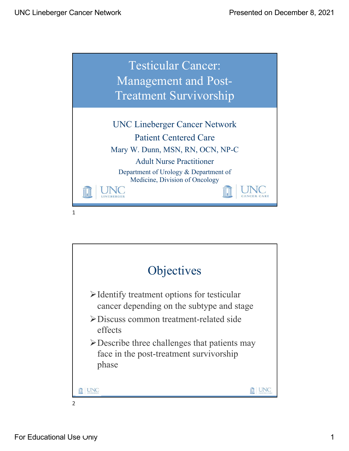

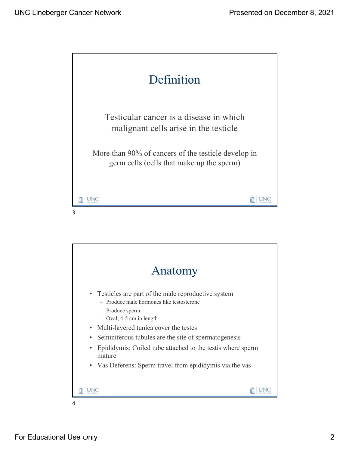

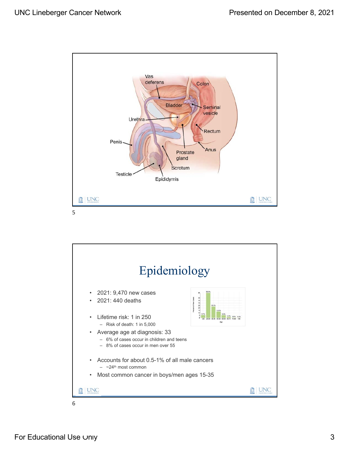

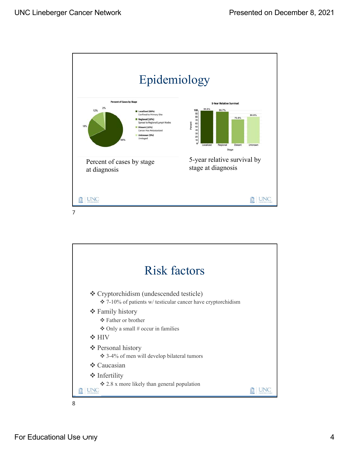



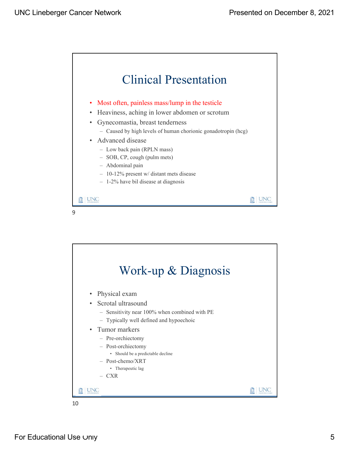



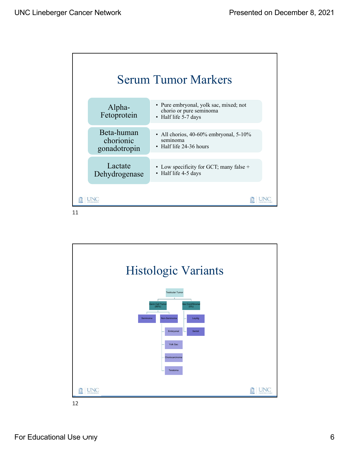

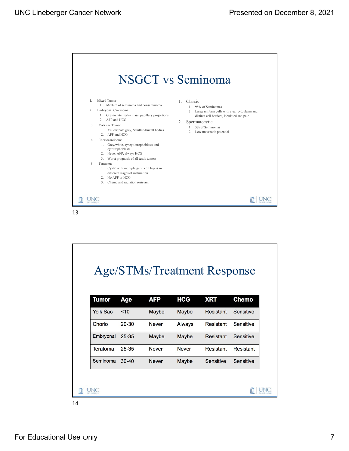

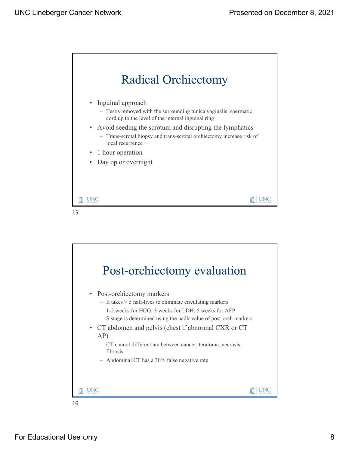



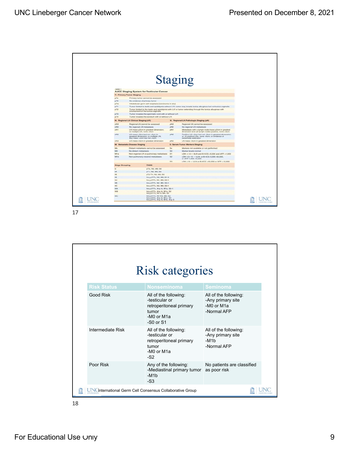|                       |                                                                                                                |                                | <b>Staging</b>                                                                                                                |  |  |  |
|-----------------------|----------------------------------------------------------------------------------------------------------------|--------------------------------|-------------------------------------------------------------------------------------------------------------------------------|--|--|--|
| Lating 1              | <b>AJCC Staging System for Testicular Cancer</b>                                                               |                                |                                                                                                                               |  |  |  |
|                       | T: Primary Tumor Staging                                                                                       |                                |                                                                                                                               |  |  |  |
| pTx                   | Primary tumor cannot be assessed                                                                               |                                |                                                                                                                               |  |  |  |
| pTO                   | No evidence of primary turnor                                                                                  |                                |                                                                                                                               |  |  |  |
| pTis                  | Intratubular germ cell neoplasia (carcinoma in situ)                                                           |                                |                                                                                                                               |  |  |  |
| pT1                   | Tumor limited to testis and epididymis without LVI; tumor may invade tunica albuginea but not tunica vaginalis |                                |                                                                                                                               |  |  |  |
| pT2                   | involvement of the tunica vaginalis                                                                            |                                | Tumor limited to the testis and epididymis with LVI or tumor extending through the tunica albuginea with                      |  |  |  |
| pT3                   | Turnor invades the spermatic cord with or without LVI                                                          |                                |                                                                                                                               |  |  |  |
| pT4                   | Tumor invades the scrotum with or without LVI                                                                  |                                |                                                                                                                               |  |  |  |
|                       | N: Regional LN Clinical Staging (cN)                                                                           |                                | N: Regional LN Pathologic Staging (pN)                                                                                        |  |  |  |
| cNX                   | Regional LN cannot be assessed                                                                                 | pNX                            | Regional LN cannot be assessed                                                                                                |  |  |  |
| cNO                   | No regional LN metastasis                                                                                      | phio                           | No regional LN metastasis                                                                                                     |  |  |  |
| $ch11$                | LN mass s2cm in greatest dimension:<br>or multiple LN, none >2cm                                               | pN1                            | Metastasis with a lymph node mass ≤2cm in greatest<br>dimension and ≤5 lymph nodes positive, none >2cm                        |  |  |  |
| cN2                   | LN mass >2cm but not >5cm in<br>greatest dimension; or multiple LN.<br>any mass >2cm but not >5cm              | pN2                            | Positive LN >2cm but not >5cm in greatest dimension:<br>or >5 positive LNs, none >5cm; or evidence of<br>extranodal extension |  |  |  |
| chia.                 | LN mass >5cm in greatest dimension                                                                             | pN3                            | LN mass >5cm in greatest dimension                                                                                            |  |  |  |
|                       | M: Metastatic Disease Staging                                                                                  | S: Serum Tumor Markers Staging |                                                                                                                               |  |  |  |
| Mx.                   | Distant metastasis cannot be assessed                                                                          | Bx                             | Markers not available or not performed.                                                                                       |  |  |  |
| MO.                   | No distant metastasis                                                                                          | \$0                            | Marker levels normal.                                                                                                         |  |  |  |
| Mia                   | Non-regional LN or pulmonary metastasis                                                                        | 81                             | LDH <1.5 × ULN and B-hCG <5.000 and AFP <1.000                                                                                |  |  |  |
| Mib                   | Non-pulmonary visceral metastases                                                                              | 52                             | LDH 1.5-10 × ULN, or B-hCG 5,000-50,000.<br>or AFP 1,000-10,000                                                               |  |  |  |
|                       |                                                                                                                | 83                             | LDH >10 × ULN or B-hCG >50,000 or AFP >10,000                                                                                 |  |  |  |
| <b>Stage Grouping</b> | <b>TNMS</b>                                                                                                    |                                |                                                                                                                               |  |  |  |
| $\circ$               | pTis. NO. MO, SO                                                                                               |                                |                                                                                                                               |  |  |  |
| iA                    | pT1, NO, MO, SO                                                                                                |                                |                                                                                                                               |  |  |  |
| iB                    | pT2-T4, NO, MO, SO                                                                                             |                                |                                                                                                                               |  |  |  |
| 15                    | Any pT/Tx, N0, M0, S1-3                                                                                        |                                |                                                                                                                               |  |  |  |
| <b>IIA</b>            | Any pT/Tx, N1, M0, S0-1                                                                                        |                                |                                                                                                                               |  |  |  |
| <b>IIB</b>            | Any pT/Tx, N2, M0, S0-1                                                                                        |                                |                                                                                                                               |  |  |  |
| <b>IIC</b>            | Any pT/Tx, N3, M0, S0-1                                                                                        |                                |                                                                                                                               |  |  |  |
| <b>IIIA</b>           | Any pT/Tx, Any N, M1a, S0-1.                                                                                   |                                |                                                                                                                               |  |  |  |
| <b>HIFE</b>           | Any pT/Tx, Any N, M1a, S2<br>Any pT/Tx, N1-3, M0, S2                                                           |                                |                                                                                                                               |  |  |  |
| <b>IIIC</b>           | Any pT/Tx, N1-N3, M0, S3<br>Any pT/Tx, Any N, Mta, S3<br>Any pT/Tx, Any N. M1b. Any S.                         |                                |                                                                                                                               |  |  |  |

|                                                         | <b>Risk categories</b>                                                                                            |                                                                         |  |
|---------------------------------------------------------|-------------------------------------------------------------------------------------------------------------------|-------------------------------------------------------------------------|--|
| <b>Risk Status</b>                                      | Nonseminoma                                                                                                       | <b>Seminoma</b>                                                         |  |
| <b>Good Risk</b>                                        | All of the following:<br>-testicular or<br>retroperitoneal primary<br>tumor<br>-M0 or M1a<br>$-S0$ or $S1$        | All of the following:<br>-Any primary site<br>-M0 or M1a<br>-Normal AFP |  |
| Intermediate Risk                                       | All of the following:<br>-testicular or<br>retroperitoneal primary<br>tumor<br>$-M0$ or M <sub>1</sub> a<br>$-S2$ | All of the following:<br>-Any primary site<br>$-M1b$<br>-Normal AFP     |  |
| Poor Risk                                               | Any of the following:<br>-Mediastinal primary tumor<br>$-M1b$<br>$-S3$                                            | No patients are classified<br>as poor risk                              |  |
| N'International Germ Cell Consensus Collaborative Group |                                                                                                                   |                                                                         |  |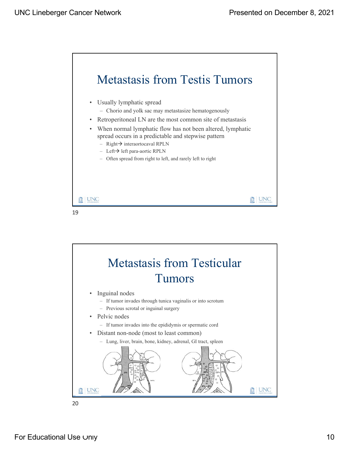

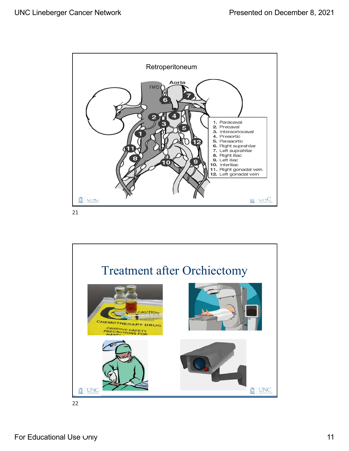

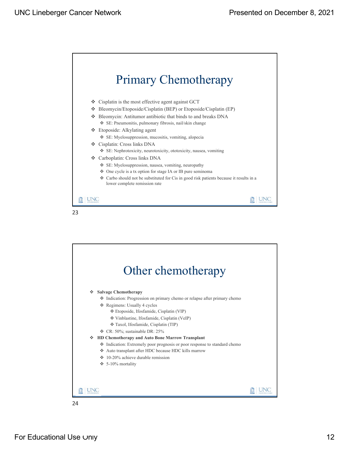



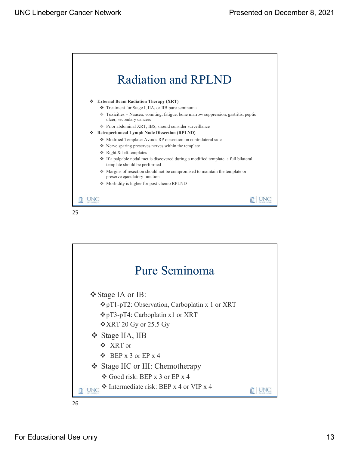





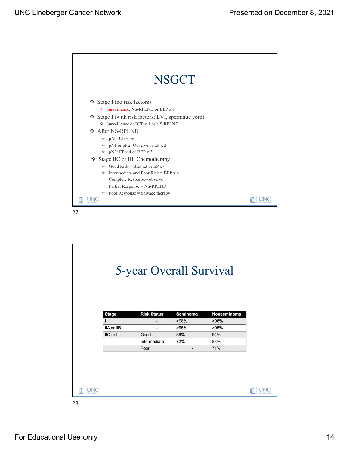

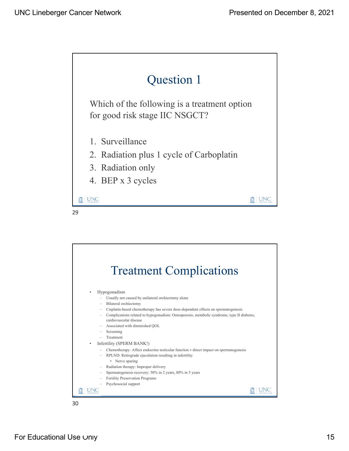



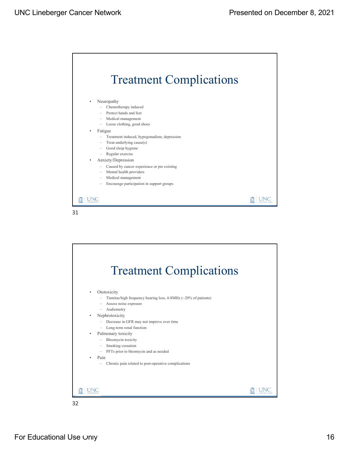

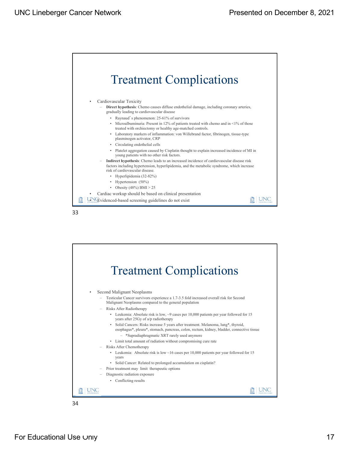





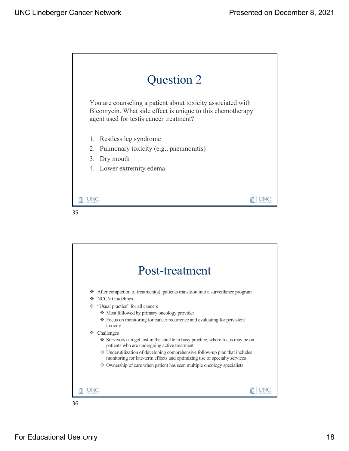



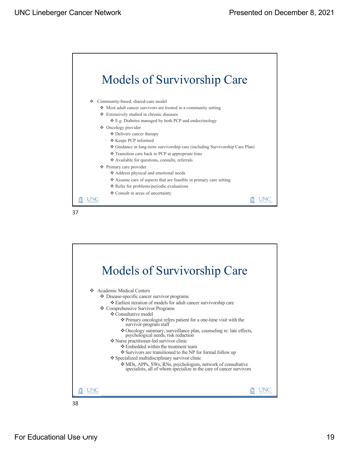





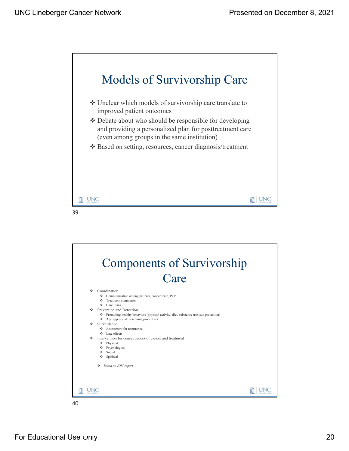



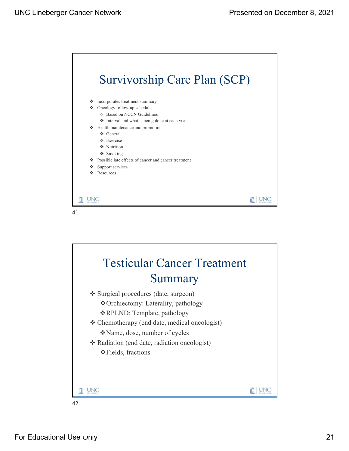



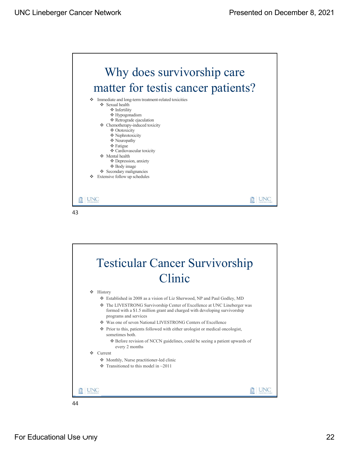



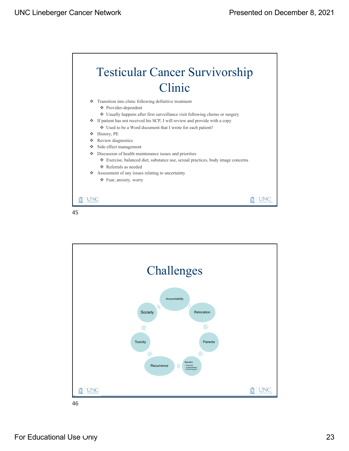**血** UNC





45

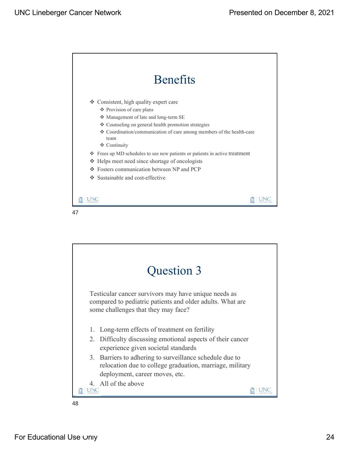





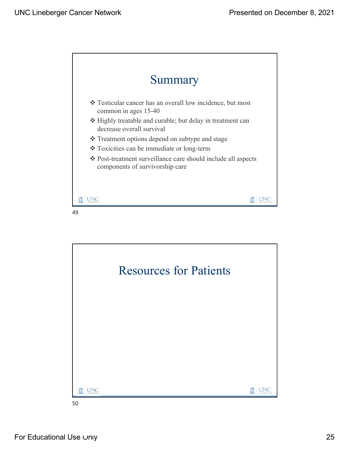